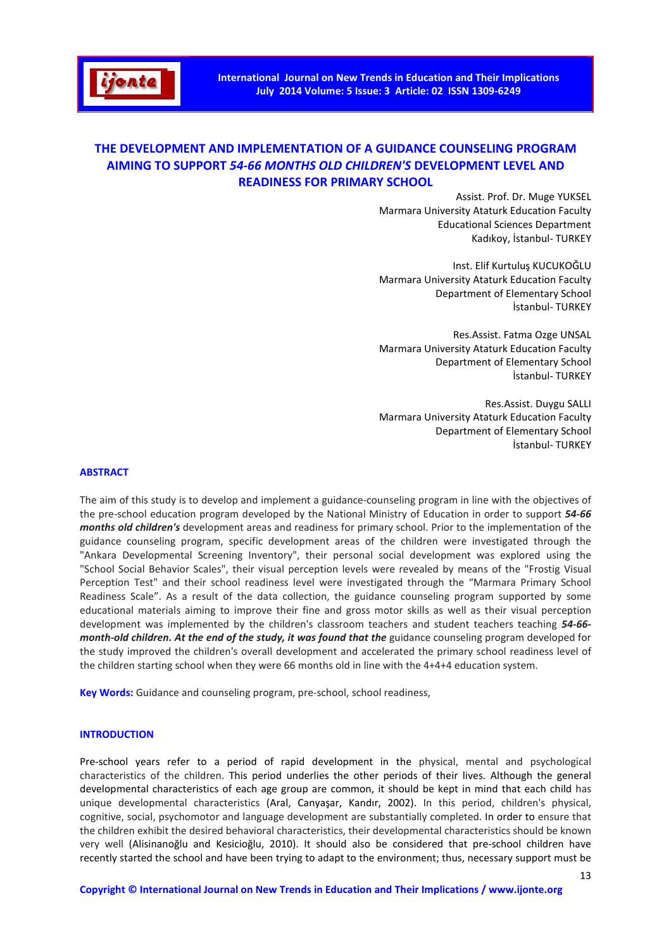

# **THE DEVELOPMENT AND IMPLEMENTATION OF A GUIDANCE COUNSELING PROGRAM AIMING TO SUPPORT** *54-66 MONTHS OLD CHILDREN'S* **DEVELOPMENT LEVEL AND READINESS FOR PRIMARY SCHOOL**

Assist. Prof. Dr. Muge YUKSEL Marmara University Ataturk Education Faculty Educational Sciences Department Kadıkoy, İstanbul- TURKEY

Inst. Elif Kurtuluş KUCUKOĞLU Marmara University Ataturk Education Faculty Department of Elementary School İstanbul- TURKEY

Res.Assist. Fatma Ozge UNSAL Marmara University Ataturk Education Faculty Department of Elementary School İstanbul- TURKEY

Res.Assist. Duygu SALLI Marmara University Ataturk Education Faculty Department of Elementary School İstanbul- TURKEY

#### **ABSTRACT**

The aim of this study is to develop and implement a guidance-counseling program in line with the objectives of the pre-school education program developed by the National Ministry of Education in order to support *54-66 months old children's* development areas and readiness for primary school. Prior to the implementation of the guidance counseling program, specific development areas of the children were investigated through the "Ankara Developmental Screening Inventory", their personal social development was explored using the "School Social Behavior Scales", their visual perception levels were revealed by means of the "Frostig Visual Perception Test" and their school readiness level were investigated through the "Marmara Primary School Readiness Scale". As a result of the data collection, the guidance counseling program supported by some educational materials aiming to improve their fine and gross motor skills as well as their visual perception development was implemented by the children's classroom teachers and student teachers teaching *54-66 month-old children. At the end of the study, it was found that the guidance counseling program developed for* the study improved the children's overall development and accelerated the primary school readiness level of the children starting school when they were 66 months old in line with the 4+4+4 education system.

**Key Words:** Guidance and counseling program, pre-school, school readiness,

### **INTRODUCTION**

Pre-school years refer to a period of rapid development in the physical, mental and psychological characteristics of the children. This period underlies the other periods of their lives. Although the general developmental characteristics of each age group are common, it should be kept in mind that each child has unique developmental characteristics (Aral, Canyaşar, Kandır, 2002). In this period, children's physical, cognitive, social, psychomotor and language development are substantially completed. In order to ensure that the children exhibit the desired behavioral characteristics, their developmental characteristics should be known very well (Alisinanoğlu and Kesicioğlu, 2010). It should also be considered that pre-school children have recently started the school and have been trying to adapt to the environment; thus, necessary support must be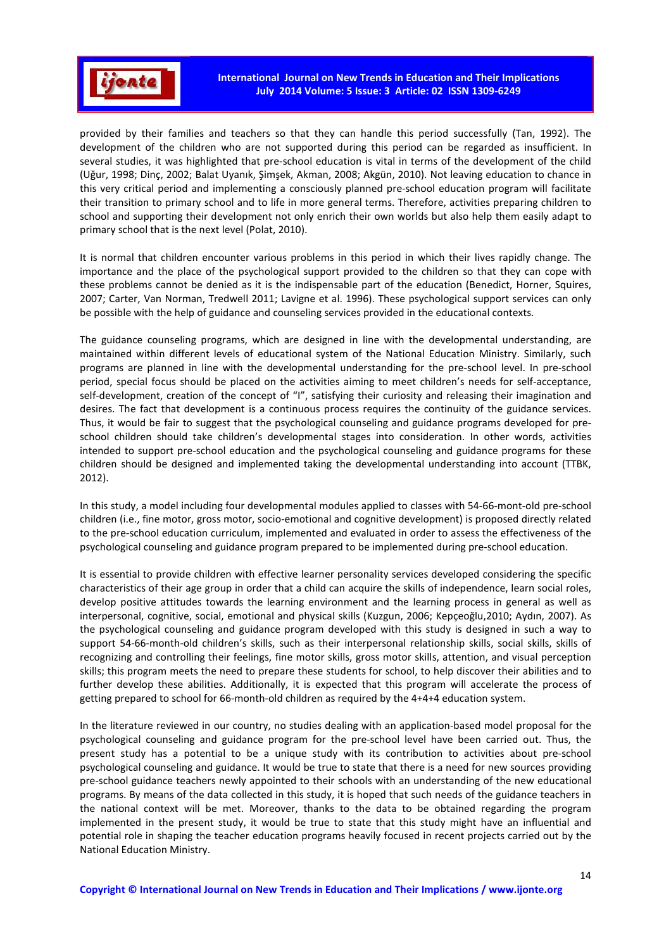

provided by their families and teachers so that they can handle this period successfully (Tan, 1992). The development of the children who are not supported during this period can be regarded as insufficient. In several studies, it was highlighted that pre-school education is vital in terms of the development of the child (Uğur, 1998; Dinç, 2002; Balat Uyanık, Şimşek, Akman, 2008; Akgün, 2010). Not leaving education to chance in this very critical period and implementing a consciously planned pre-school education program will facilitate their transition to primary school and to life in more general terms. Therefore, activities preparing children to school and supporting their development not only enrich their own worlds but also help them easily adapt to primary school that is the next level (Polat, 2010).

It is normal that children encounter various problems in this period in which their lives rapidly change. The importance and the place of the psychological support provided to the children so that they can cope with these problems cannot be denied as it is the indispensable part of the education (Benedict, Horner, Squires, 2007; Carter, Van Norman, Tredwell 2011; Lavigne et al. 1996). These psychological support services can only be possible with the help of guidance and counseling services provided in the educational contexts.

The guidance counseling programs, which are designed in line with the developmental understanding, are maintained within different levels of educational system of the National Education Ministry. Similarly, such programs are planned in line with the developmental understanding for the pre-school level. In pre-school period, special focus should be placed on the activities aiming to meet children's needs for self-acceptance, self-development, creation of the concept of "I", satisfying their curiosity and releasing their imagination and desires. The fact that development is a continuous process requires the continuity of the guidance services. Thus, it would be fair to suggest that the psychological counseling and guidance programs developed for preschool children should take children's developmental stages into consideration. In other words, activities intended to support pre-school education and the psychological counseling and guidance programs for these children should be designed and implemented taking the developmental understanding into account (TTBK, 2012).

In this study, a model including four developmental modules applied to classes with 54-66-mont-old pre-school children (i.e., fine motor, gross motor, socio-emotional and cognitive development) is proposed directly related to the pre-school education curriculum, implemented and evaluated in order to assess the effectiveness of the psychological counseling and guidance program prepared to be implemented during pre-school education.

It is essential to provide children with effective learner personality services developed considering the specific characteristics of their age group in order that a child can acquire the skills of independence, learn social roles, develop positive attitudes towards the learning environment and the learning process in general as well as interpersonal, cognitive, social, emotional and physical skills (Kuzgun, 2006; Kepçeoğlu,2010; Aydın, 2007). As the psychological counseling and guidance program developed with this study is designed in such a way to support 54-66-month-old children's skills, such as their interpersonal relationship skills, social skills, skills of recognizing and controlling their feelings, fine motor skills, gross motor skills, attention, and visual perception skills; this program meets the need to prepare these students for school, to help discover their abilities and to further develop these abilities. Additionally, it is expected that this program will accelerate the process of getting prepared to school for 66-month-old children as required by the 4+4+4 education system.

In the literature reviewed in our country, no studies dealing with an application-based model proposal for the psychological counseling and guidance program for the pre-school level have been carried out. Thus, the present study has a potential to be a unique study with its contribution to activities about pre-school psychological counseling and guidance. It would be true to state that there is a need for new sources providing pre-school guidance teachers newly appointed to their schools with an understanding of the new educational programs. By means of the data collected in this study, it is hoped that such needs of the guidance teachers in the national context will be met. Moreover, thanks to the data to be obtained regarding the program implemented in the present study, it would be true to state that this study might have an influential and potential role in shaping the teacher education programs heavily focused in recent projects carried out by the National Education Ministry.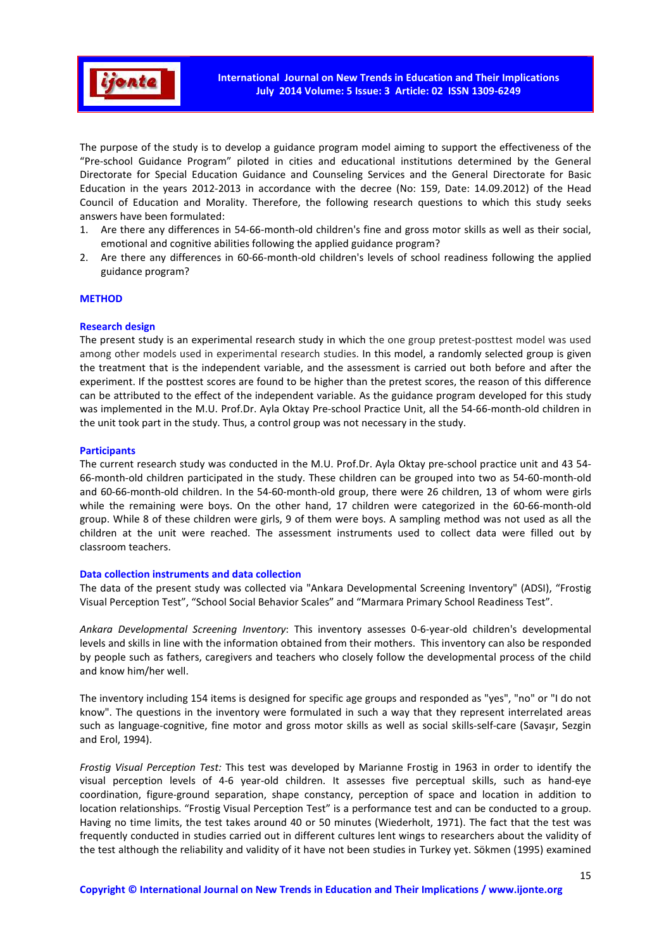

The purpose of the study is to develop a guidance program model aiming to support the effectiveness of the "Pre-school Guidance Program" piloted in cities and educational institutions determined by the General Directorate for Special Education Guidance and Counseling Services and the General Directorate for Basic Education in the years 2012-2013 in accordance with the decree (No: 159, Date: 14.09.2012) of the Head Council of Education and Morality. Therefore, the following research questions to which this study seeks answers have been formulated:

- 1. Are there any differences in 54-66-month-old children's fine and gross motor skills as well as their social, emotional and cognitive abilities following the applied guidance program?
- 2. Are there any differences in 60-66-month-old children's levels of school readiness following the applied guidance program?

### **METHOD**

### **Research design**

The present study is an experimental research study in which the one group pretest-posttest model was used among other models used in experimental research studies. In this model, a randomly selected group is given the treatment that is the independent variable, and the assessment is carried out both before and after the experiment. If the posttest scores are found to be higher than the pretest scores, the reason of this difference can be attributed to the effect of the independent variable. As the guidance program developed for this study was implemented in the M.U. Prof.Dr. Ayla Oktay Pre-school Practice Unit, all the 54-66-month-old children in the unit took part in the study. Thus, a control group was not necessary in the study.

### **Participants**

The current research study was conducted in the M.U. Prof.Dr. Ayla Oktay pre-school practice unit and 43 54- 66-month-old children participated in the study. These children can be grouped into two as 54-60-month-old and 60-66-month-old children. In the 54-60-month-old group, there were 26 children, 13 of whom were girls while the remaining were boys. On the other hand, 17 children were categorized in the 60-66-month-old group. While 8 of these children were girls, 9 of them were boys. A sampling method was not used as all the children at the unit were reached. The assessment instruments used to collect data were filled out by classroom teachers.

### **Data collection instruments and data collection**

The data of the present study was collected via "Ankara Developmental Screening Inventory" (ADSI), "Frostig Visual Perception Test", "School Social Behavior Scales" and "Marmara Primary School Readiness Test".

*Ankara Developmental Screening Inventory*: This inventory assesses 0-6-year-old children's developmental levels and skills in line with the information obtained from their mothers. This inventory can also be responded by people such as fathers, caregivers and teachers who closely follow the developmental process of the child and know him/her well.

The inventory including 154 items is designed for specific age groups and responded as "yes", "no" or "I do not know". The questions in the inventory were formulated in such a way that they represent interrelated areas such as language-cognitive, fine motor and gross motor skills as well as social skills-self-care (Savaşır, Sezgin and Erol, 1994).

*Frostig Visual Perception Test:* This test was developed by Marianne Frostig in 1963 in order to identify the visual perception levels of 4-6 year-old children. It assesses five perceptual skills, such as hand-eye coordination, figure-ground separation, shape constancy, perception of space and location in addition to location relationships. "Frostig Visual Perception Test" is a performance test and can be conducted to a group. Having no time limits, the test takes around 40 or 50 minutes (Wiederholt, 1971). The fact that the test was frequently conducted in studies carried out in different cultures lent wings to researchers about the validity of the test although the reliability and validity of it have not been studies in Turkey yet. Sökmen (1995) examined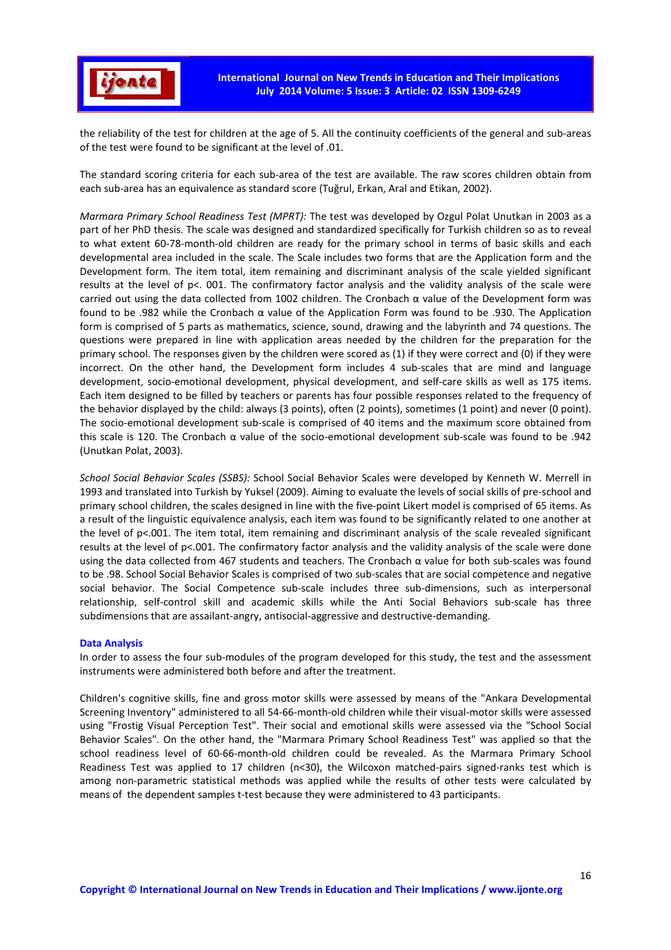

the reliability of the test for children at the age of 5. All the continuity coefficients of the general and sub-areas of the test were found to be significant at the level of .01.

The standard scoring criteria for each sub-area of the test are available. The raw scores children obtain from each sub-area has an equivalence as standard score (Tuğrul, Erkan, Aral and Etikan, 2002).

*Marmara Primary School Readiness Test (MPRT):* The test was developed by Ozgul Polat Unutkan in 2003 as a part of her PhD thesis. The scale was designed and standardized specifically for Turkish children so as to reveal to what extent 60-78-month-old children are ready for the primary school in terms of basic skills and each developmental area included in the scale. The Scale includes two forms that are the Application form and the Development form. The item total, item remaining and discriminant analysis of the scale yielded significant results at the level of p<. 001. The confirmatory factor analysis and the validity analysis of the scale were carried out using the data collected from 1002 children. The Cronbach α value of the Development form was found to be .982 while the Cronbach α value of the Application Form was found to be .930. The Application form is comprised of 5 parts as mathematics, science, sound, drawing and the labyrinth and 74 questions. The questions were prepared in line with application areas needed by the children for the preparation for the primary school. The responses given by the children were scored as (1) if they were correct and (0) if they were incorrect. On the other hand, the Development form includes 4 sub-scales that are mind and language development, socio-emotional development, physical development, and self-care skills as well as 175 items. Each item designed to be filled by teachers or parents has four possible responses related to the frequency of the behavior displayed by the child: always (3 points), often (2 points), sometimes (1 point) and never (0 point). The socio-emotional development sub-scale is comprised of 40 items and the maximum score obtained from this scale is 120. The Cronbach α value of the socio-emotional development sub-scale was found to be .942 (Unutkan Polat, 2003).

*School Social Behavior Scales (SSBS):* School Social Behavior Scales were developed by Kenneth W. Merrell in 1993 and translated into Turkish by Yuksel (2009). Aiming to evaluate the levels of social skills of pre-school and primary school children, the scales designed in line with the five-point Likert model is comprised of 65 items. As a result of the linguistic equivalence analysis, each item was found to be significantly related to one another at the level of p<.001. The item total, item remaining and discriminant analysis of the scale revealed significant results at the level of p<.001. The confirmatory factor analysis and the validity analysis of the scale were done using the data collected from 467 students and teachers. The Cronbach α value for both sub-scales was found to be .98. School Social Behavior Scales is comprised of two sub-scales that are social competence and negative social behavior. The Social Competence sub-scale includes three sub-dimensions, such as interpersonal relationship, self-control skill and academic skills while the Anti Social Behaviors sub-scale has three subdimensions that are assailant-angry, antisocial-aggressive and destructive-demanding.

#### **Data Analysis**

In order to assess the four sub-modules of the program developed for this study, the test and the assessment instruments were administered both before and after the treatment.

Children's cognitive skills, fine and gross motor skills were assessed by means of the "Ankara Developmental Screening Inventory" administered to all 54-66-month-old children while their visual-motor skills were assessed using "Frostig Visual Perception Test". Their social and emotional skills were assessed via the "School Social Behavior Scales". On the other hand, the "Marmara Primary School Readiness Test" was applied so that the school readiness level of 60-66-month-old children could be revealed. As the Marmara Primary School Readiness Test was applied to 17 children (n<30), the Wilcoxon matched-pairs signed-ranks test which is among non-parametric statistical methods was applied while the results of other tests were calculated by means of the dependent samples t-test because they were administered to 43 participants.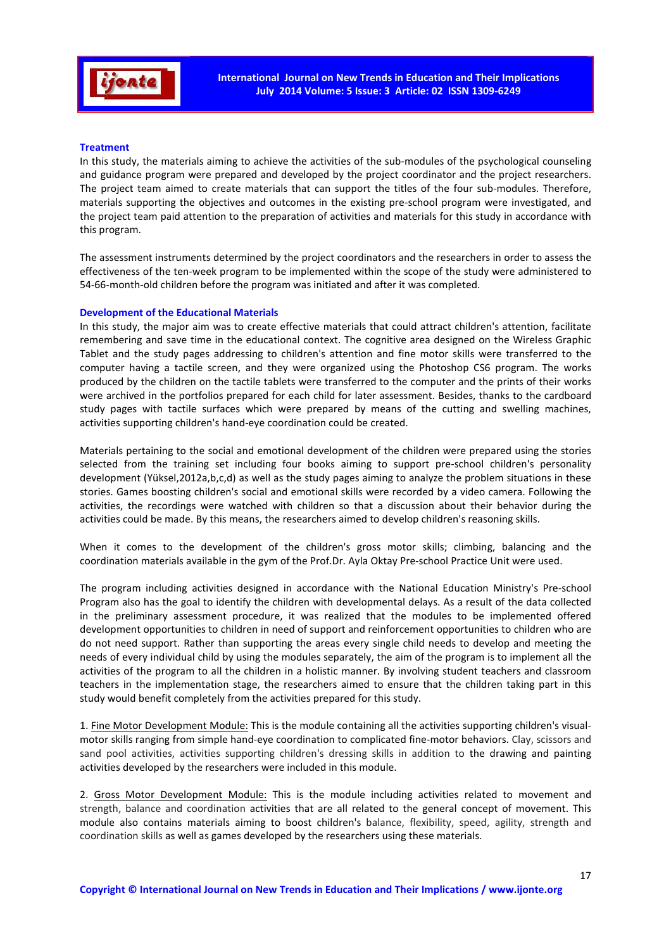

# **Treatment**

In this study, the materials aiming to achieve the activities of the sub-modules of the psychological counseling and guidance program were prepared and developed by the project coordinator and the project researchers. The project team aimed to create materials that can support the titles of the four sub-modules. Therefore, materials supporting the objectives and outcomes in the existing pre-school program were investigated, and the project team paid attention to the preparation of activities and materials for this study in accordance with this program.

The assessment instruments determined by the project coordinators and the researchers in order to assess the effectiveness of the ten-week program to be implemented within the scope of the study were administered to 54-66-month-old children before the program was initiated and after it was completed.

### **Development of the Educational Materials**

In this study, the major aim was to create effective materials that could attract children's attention, facilitate remembering and save time in the educational context. The cognitive area designed on the Wireless Graphic Tablet and the study pages addressing to children's attention and fine motor skills were transferred to the computer having a tactile screen, and they were organized using the Photoshop CS6 program. The works produced by the children on the tactile tablets were transferred to the computer and the prints of their works were archived in the portfolios prepared for each child for later assessment. Besides, thanks to the cardboard study pages with tactile surfaces which were prepared by means of the cutting and swelling machines, activities supporting children's hand-eye coordination could be created.

Materials pertaining to the social and emotional development of the children were prepared using the stories selected from the training set including four books aiming to support pre-school children's personality development (Yüksel,2012a,b,c,d) as well as the study pages aiming to analyze the problem situations in these stories. Games boosting children's social and emotional skills were recorded by a video camera. Following the activities, the recordings were watched with children so that a discussion about their behavior during the activities could be made. By this means, the researchers aimed to develop children's reasoning skills.

When it comes to the development of the children's gross motor skills; climbing, balancing and the coordination materials available in the gym of the Prof.Dr. Ayla Oktay Pre-school Practice Unit were used.

The program including activities designed in accordance with the National Education Ministry's Pre-school Program also has the goal to identify the children with developmental delays. As a result of the data collected in the preliminary assessment procedure, it was realized that the modules to be implemented offered development opportunities to children in need of support and reinforcement opportunities to children who are do not need support. Rather than supporting the areas every single child needs to develop and meeting the needs of every individual child by using the modules separately, the aim of the program is to implement all the activities of the program to all the children in a holistic manner. By involving student teachers and classroom teachers in the implementation stage, the researchers aimed to ensure that the children taking part in this study would benefit completely from the activities prepared for this study.

1. Fine Motor Development Module: This is the module containing all the activities supporting children's visualmotor skills ranging from simple hand-eye coordination to complicated fine-motor behaviors. Clay, scissors and sand pool activities, activities supporting children's dressing skills in addition to the drawing and painting activities developed by the researchers were included in this module.

2. Gross Motor Development Module: This is the module including activities related to movement and strength, balance and coordination activities that are all related to the general concept of movement. This module also contains materials aiming to boost children's balance, flexibility, speed, agility, strength and coordination skills as well as games developed by the researchers using these materials.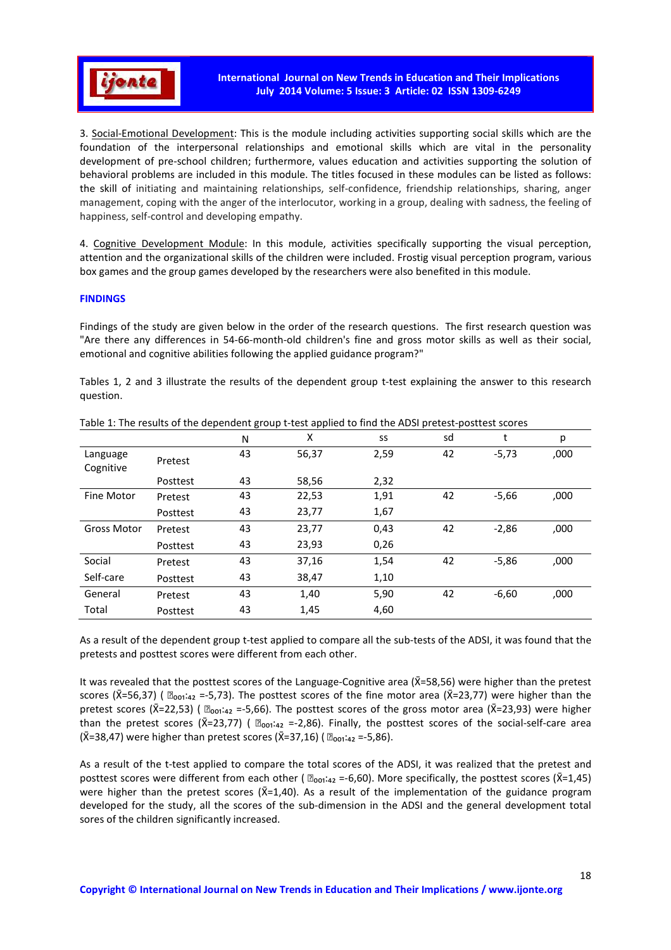

3. Social-Emotional Development: This is the module including activities supporting social skills which are the foundation of the interpersonal relationships and emotional skills which are vital in the personality development of pre-school children; furthermore, values education and activities supporting the solution of behavioral problems are included in this module. The titles focused in these modules can be listed as follows: the skill of initiating and maintaining relationships, self-confidence, friendship relationships, sharing, anger management, coping with the anger of the interlocutor, working in a group, dealing with sadness, the feeling of happiness, self-control and developing empathy.

4. Cognitive Development Module: In this module, activities specifically supporting the visual perception, attention and the organizational skills of the children were included. Frostig visual perception program, various box games and the group games developed by the researchers were also benefited in this module.

# **FINDINGS**

Findings of the study are given below in the order of the research questions. The first research question was "Are there any differences in 54-66-month-old children's fine and gross motor skills as well as their social, emotional and cognitive abilities following the applied guidance program?"

Tables 1, 2 and 3 illustrate the results of the dependent group t-test explaining the answer to this research question.

|                       |          | N  | x     | SS   | sd | t       | р    |
|-----------------------|----------|----|-------|------|----|---------|------|
| Language<br>Cognitive | Pretest  | 43 | 56,37 | 2,59 | 42 | $-5,73$ | ,000 |
|                       | Posttest | 43 | 58,56 | 2,32 |    |         |      |
| <b>Fine Motor</b>     | Pretest  | 43 | 22,53 | 1,91 | 42 | $-5,66$ | ,000 |
|                       | Posttest | 43 | 23,77 | 1,67 |    |         |      |
| <b>Gross Motor</b>    | Pretest  | 43 | 23,77 | 0,43 | 42 | $-2,86$ | ,000 |
|                       | Posttest | 43 | 23,93 | 0,26 |    |         |      |
| Social                | Pretest  | 43 | 37,16 | 1,54 | 42 | $-5,86$ | ,000 |
| Self-care             | Posttest | 43 | 38,47 | 1,10 |    |         |      |
| General               | Pretest  | 43 | 1,40  | 5,90 | 42 | $-6,60$ | ,000 |
| Total                 | Posttest | 43 | 1,45  | 4,60 |    |         |      |

Table 1: The results of the dependent group t-test applied to find the ADSI pretest-posttest scores

As a result of the dependent group t-test applied to compare all the sub-tests of the ADSI, it was found that the pretests and posttest scores were different from each other.

It was revealed that the posttest scores of the Language-Cognitive area ( $\bar{x}$ =58,56) were higher than the pretest scores ( $\bar{X}$ =56,37) (  $\bar{Z}_{\text{oo1}:\text{42}}$  =-5,73). The posttest scores of the fine motor area ( $\bar{X}$ =23,77) were higher than the pretest scores ( $\bar{X}=22,53$ ) (  $\mathbb{D}_{001:42}=-5,66$ ). The posttest scores of the gross motor area ( $\bar{X}=23,93$ ) were higher than the pretest scores ( $\bar{X}=23,77$ ) (  $\bar{z}_{001}$ : $_{42}$  =-2,86). Finally, the posttest scores of the social-self-care area  $({\bar X}=38,47)$  were higher than pretest scores ( ${\bar X}=37,16$ ) (  $\Box_{001}:_{42}$  =-5,86).

As a result of the t-test applied to compare the total scores of the ADSI, it was realized that the pretest and posttest scores were different from each other ( $\mathbb{D}_{001:42}$  =-6,60). More specifically, the posttest scores ( $\overline{X}=1,45$ ) were higher than the pretest scores ( $\overline{X}=1,40$ ). As a result of the implementation of the guidance program developed for the study, all the scores of the sub-dimension in the ADSI and the general development total sores of the children significantly increased.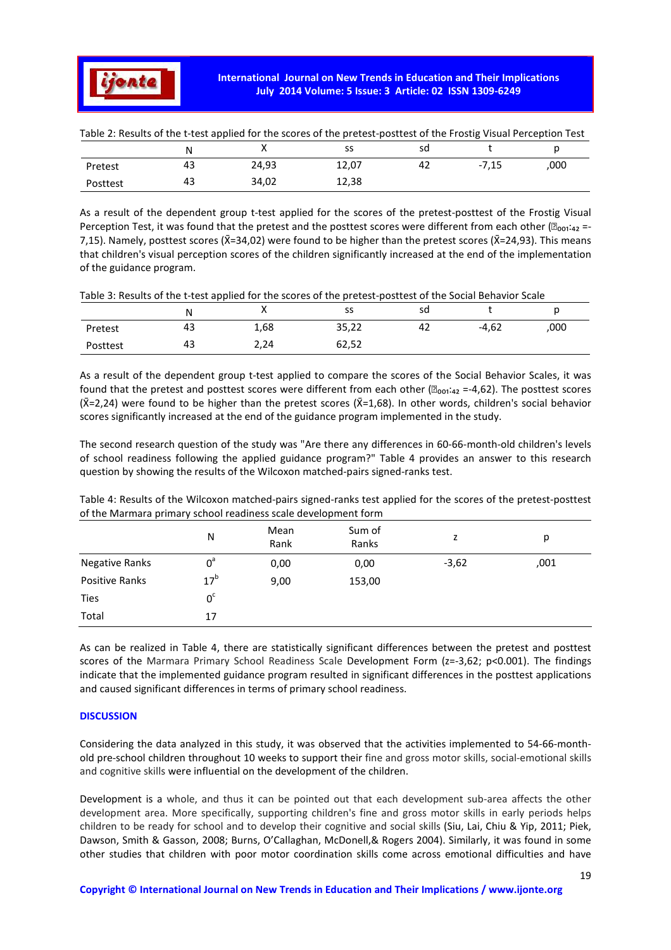

| Table 2. Results of the t-test applied for the scores of the pretest-positest of the Frostig Visual Perception Test |    |       |       |    |         |      |  |
|---------------------------------------------------------------------------------------------------------------------|----|-------|-------|----|---------|------|--|
|                                                                                                                     |    |       |       |    |         |      |  |
| Pretest                                                                                                             | 43 | 24.93 | 12.07 | 42 | $-7.15$ | .000 |  |
| Posttest                                                                                                            | 43 | 34.02 | 12.38 |    |         |      |  |

Table 2: Results of the t-test applied for the scores of the pretest-posttest of the Frostig Visual Perception Test

As a result of the dependent group t-test applied for the scores of the pretest-posttest of the Frostig Visual Perception Test, it was found that the pretest and the posttest scores were different from each other ( $\mathbb{B}_{001:42}$  =-7,15). Namely, posttest scores ( $\bar{X}=34,02$ ) were found to be higher than the pretest scores ( $\bar{X}=24,93$ ). This means that children's visual perception scores of the children significantly increased at the end of the implementation of the guidance program.

| Table 3: Results of the t-test applied for the scores of the pretest-posttest of the Social Behavior Scale |  |  |
|------------------------------------------------------------------------------------------------------------|--|--|
|                                                                                                            |  |  |

|          | N  | ,,   | SS    | sd |         |      |
|----------|----|------|-------|----|---------|------|
| Pretest  | 43 | 1,68 | 35,22 | 42 | $-4,62$ | ,000 |
| Posttest | 43 | 2,24 | 62,52 |    |         |      |

As a result of the dependent group t-test applied to compare the scores of the Social Behavior Scales, it was found that the pretest and posttest scores were different from each other ( $\mathbb{Z}_{\text{ori-42}}$  =-4,62). The posttest scores  $(\bar{X}=2,24)$  were found to be higher than the pretest scores ( $\bar{X}=1,68$ ). In other words, children's social behavior scores significantly increased at the end of the guidance program implemented in the study.

The second research question of the study was "Are there any differences in 60-66-month-old children's levels of school readiness following the applied guidance program?" Table 4 provides an answer to this research question by showing the results of the Wilcoxon matched-pairs signed-ranks test.

Table 4: Results of the Wilcoxon matched-pairs signed-ranks test applied for the scores of the pretest-posttest of the Marmara primary school readiness scale development form

|                | N               | Mean<br>Rank | Sum of<br>Ranks | 7       | р    |
|----------------|-----------------|--------------|-----------------|---------|------|
| Negative Ranks | $0^a$           | 0,00         | 0,00            | $-3,62$ | ,001 |
| Positive Ranks | 17 <sup>b</sup> | 9,00         | 153,00          |         |      |
| <b>Ties</b>    | 0 <sup>c</sup>  |              |                 |         |      |
| Total          | 17              |              |                 |         |      |

As can be realized in Table 4, there are statistically significant differences between the pretest and posttest scores of the Marmara Primary School Readiness Scale Development Form (z=-3,62; p<0.001). The findings indicate that the implemented guidance program resulted in significant differences in the posttest applications and caused significant differences in terms of primary school readiness.

### **DISCUSSION**

Considering the data analyzed in this study, it was observed that the activities implemented to 54-66-monthold pre-school children throughout 10 weeks to support their fine and gross motor skills, social-emotional skills and cognitive skills were influential on the development of the children.

Development is a whole, and thus it can be pointed out that each development sub-area affects the other development area. More specifically, supporting children's fine and gross motor skills in early periods helps children to be ready for school and to develop their cognitive and social skills (Siu, Lai, Chiu & Yip, 2011; Piek, Dawson, Smith & Gasson, 2008; Burns, O'Callaghan, McDonell,& Rogers 2004). Similarly, it was found in some other studies that children with poor motor coordination skills come across emotional difficulties and have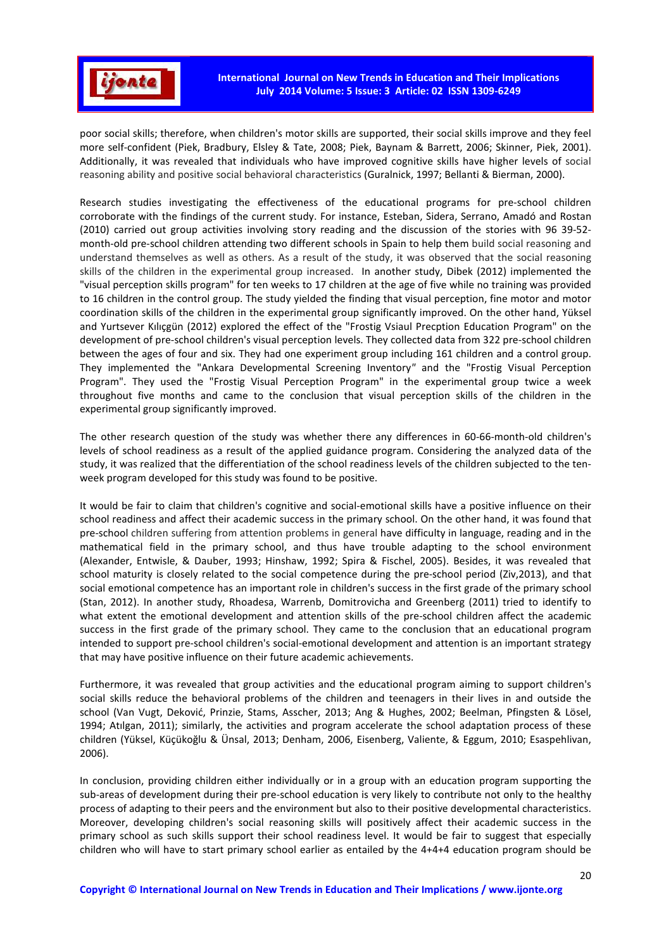

poor social skills; therefore, when children's motor skills are supported, their social skills improve and they feel more self-confident (Piek, Bradbury, Elsley & Tate, 2008; Piek, Baynam & Barrett, 2006; Skinner, Piek, 2001). Additionally, it was revealed that individuals who have improved cognitive skills have higher levels of social reasoning ability and positive social behavioral characteristics (Guralnick, 1997; Bellanti & Bierman, 2000).

Research studies investigating the effectiveness of the educational programs for pre-school children corroborate with the findings of the current study. For instance, Esteban, Sidera, Serrano, Amadó and Rostan (2010) carried out group activities involving story reading and the discussion of the stories with 96 39-52 month-old pre-school children attending two different schools in Spain to help them build social reasoning and understand themselves as well as others. As a result of the study, it was observed that the social reasoning skills of the children in the experimental group increased. In another study, Dibek (2012) implemented the "visual perception skills program" for ten weeks to 17 children at the age of five while no training was provided to 16 children in the control group. The study yielded the finding that visual perception, fine motor and motor coordination skills of the children in the experimental group significantly improved. On the other hand, Yüksel and Yurtsever Kılıçgün (2012) explored the effect of the "Frostig Vsiaul Precption Education Program" on the development of pre-school children's visual perception levels. They collected data from 322 pre-school children between the ages of four and six. They had one experiment group including 161 children and a control group. They implemented the "Ankara Developmental Screening Inventory*"* and the "Frostig Visual Perception Program". They used the "Frostig Visual Perception Program" in the experimental group twice a week throughout five months and came to the conclusion that visual perception skills of the children in the experimental group significantly improved.

The other research question of the study was whether there any differences in 60-66-month-old children's levels of school readiness as a result of the applied guidance program. Considering the analyzed data of the study, it was realized that the differentiation of the school readiness levels of the children subjected to the tenweek program developed for this study was found to be positive.

It would be fair to claim that children's cognitive and social-emotional skills have a positive influence on their school readiness and affect their academic success in the primary school. On the other hand, it was found that pre-school children suffering from attention problems in general have difficulty in language, reading and in the mathematical field in the primary school, and thus have trouble adapting to the school environment (Alexander, Entwisle, & Dauber, 1993; Hinshaw, 1992; Spira & Fischel, 2005). Besides, it was revealed that school maturity is closely related to the social competence during the pre-school period (Ziv,2013), and that social emotional competence has an important role in children's success in the first grade of the primary school (Stan, 2012). In another study, Rhoadesa, Warrenb, Domitrovicha and Greenberg (2011) tried to identify to what extent the emotional development and attention skills of the pre-school children affect the academic success in the first grade of the primary school. They came to the conclusion that an educational program intended to support pre-school children's social-emotional development and attention is an important strategy that may have positive influence on their future academic achievements.

Furthermore, it was revealed that group activities and the educational program aiming to support children's social skills reduce the behavioral problems of the children and teenagers in their lives in and outside the school (Van Vugt, Deković, Prinzie, Stams, Asscher, 2013; Ang & Hughes, 2002; Beelman, Pfingsten & Lösel, 1994; Atılgan, 2011); similarly, the activities and program accelerate the school adaptation process of these children (Yüksel, Küçükoğlu & Ünsal, 2013; Denham, 2006, Eisenberg, Valiente, & Eggum, 2010; Esaspehlivan, 2006).

In conclusion, providing children either individually or in a group with an education program supporting the sub-areas of development during their pre-school education is very likely to contribute not only to the healthy process of adapting to their peers and the environment but also to their positive developmental characteristics. Moreover, developing children's social reasoning skills will positively affect their academic success in the primary school as such skills support their school readiness level. It would be fair to suggest that especially children who will have to start primary school earlier as entailed by the 4+4+4 education program should be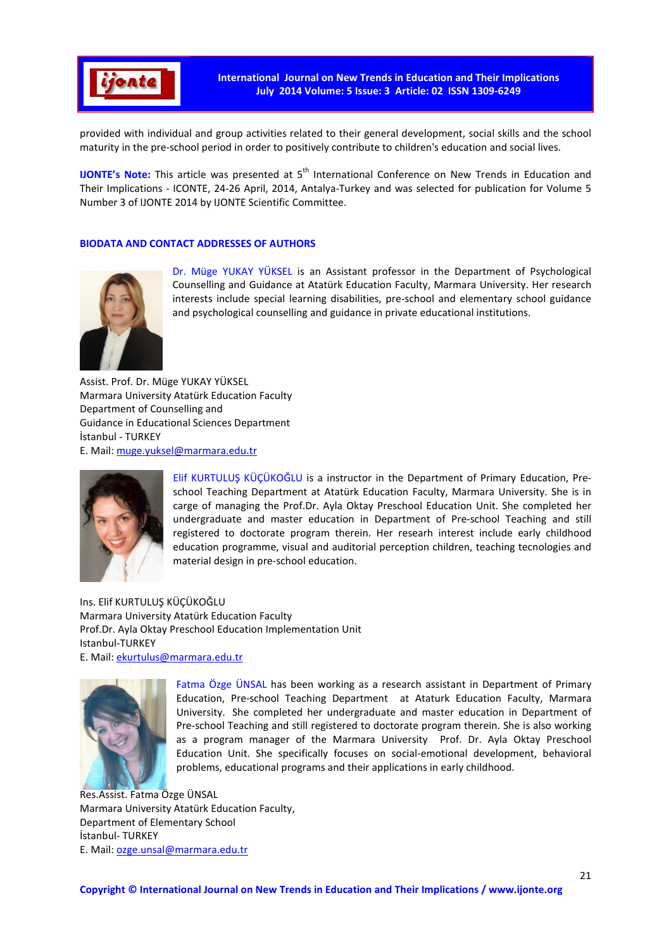

provided with individual and group activities related to their general development, social skills and the school maturity in the pre-school period in order to positively contribute to children's education and social lives.

**IJONTE's Note:** This article was presented at 5<sup>th</sup> International Conference on New Trends in Education and Their Implications - ICONTE, 24-26 April, 2014, Antalya-Turkey and was selected for publication for Volume 5 Number 3 of IJONTE 2014 by IJONTE Scientific Committee.

# **BIODATA AND CONTACT ADDRESSES OF AUTHORS**



Dr. Müge YUKAY YÜKSEL is an Assistant professor in the Department of Psychological Counselling and Guidance at Atatürk Education Faculty, Marmara University. Her research interests include special learning disabilities, pre-school and elementary school guidance and psychological counselling and guidance in private educational institutions.

Assist. Prof. Dr. Müge YUKAY YÜKSEL Marmara University Atatürk Education Faculty Department of Counselling and Guidance in Educational Sciences Department İstanbul - TURKEY E. Mail: muge.yuksel@marmara.edu.tr



Elif KURTULUŞ KÜÇÜKOĞLU is a instructor in the Department of Primary Education, Preschool Teaching Department at Atatürk Education Faculty, Marmara University. She is in carge of managing the Prof.Dr. Ayla Oktay Preschool Education Unit. She completed her undergraduate and master education in Department of Pre-school Teaching and still registered to doctorate program therein. Her researh interest include early childhood education programme, visual and auditorial perception children, teaching tecnologies and material design in pre-school education.

Ins. Elif KURTULUŞ KÜÇÜKOĞLU Marmara University Atatürk Education Faculty Prof.Dr. Ayla Oktay Preschool Education Implementation Unit Istanbul-TURKEY E. Mail: ekurtulus@marmara.edu.tr



Fatma Özge ÜNSAL has been working as a research assistant in Department of Primary Education, Pre-school Teaching Department at Ataturk Education Faculty, Marmara University. She completed her undergraduate and master education in Department of Pre-school Teaching and still registered to doctorate program therein. She is also working as a program manager of the Marmara University Prof. Dr. Ayla Oktay Preschool Education Unit. She specifically focuses on social-emotional development, behavioral problems, educational programs and their applications in early childhood.

Res.Assist. Fatma Özge ÜNSAL Marmara University Atatürk Education Faculty, Department of Elementary School İstanbul- TURKEY E. Mail: ozge.unsal@marmara.edu.tr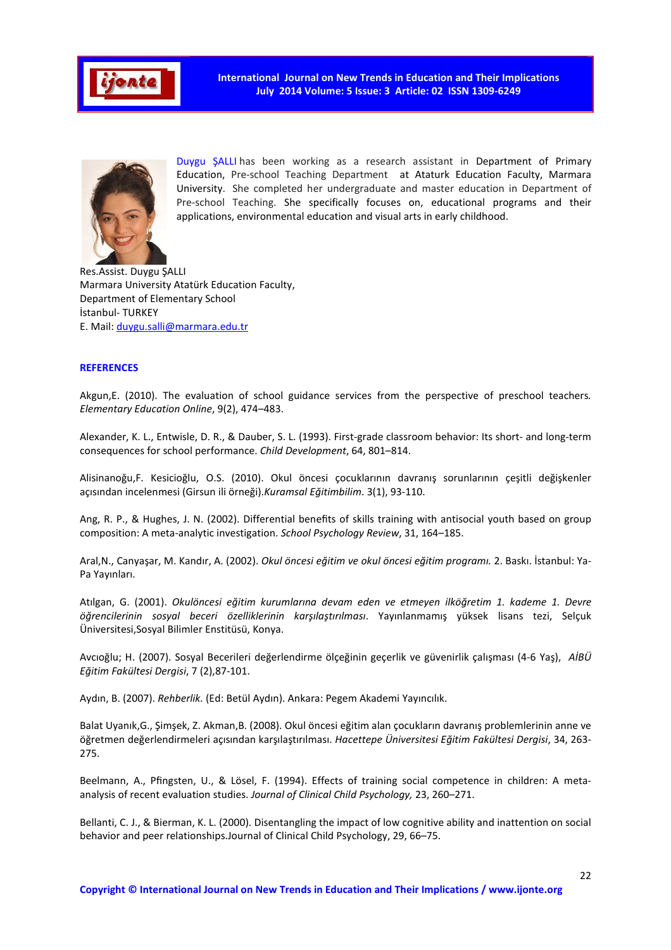

**International Journal on New Trends in Education and Their Implications July 2014 Volume: 5 Issue: 3 Article: 02 ISSN 1309-6249** 



Duygu ŞALLI has been working as a research assistant in Department of Primary Education, Pre-school Teaching Department at Ataturk Education Faculty, Marmara University. She completed her undergraduate and master education in Department of Pre-school Teaching. She specifically focuses on, educational programs and their applications, environmental education and visual arts in early childhood.

Res.Assist. Duygu ŞALLI Marmara University Atatürk Education Faculty, Department of Elementary School İstanbul- TURKEY E. Mail: duygu.salli@marmara.edu.tr

### **REFERENCES**

Akgun,E. (2010). The evaluation of school guidance services from the perspective of preschool teachers*. Elementary Education Online*, 9(2), 474–483.

Alexander, K. L., Entwisle, D. R., & Dauber, S. L. (1993). First-grade classroom behavior: Its short- and long-term consequences for school performance. *Child Development*, 64, 801–814.

Alisinanoğu,F. Kesicioğlu, O.S. (2010). Okul öncesi çocuklarının davranış sorunlarının çeşitli değişkenler açısından incelenmesi (Girsun ili örneği).*Kuramsal Eğitimbilim*. 3(1), 93-110.

Ang, R. P., & Hughes, J. N. (2002). Differential benefits of skills training with antisocial youth based on group composition: A meta-analytic investigation. *School Psychology Review*, 31, 164–185.

Aral,N., Canyaşar, M. Kandır, A. (2002). *Okul öncesi eğitim ve okul öncesi eğitim programı.* 2. Baskı. İstanbul: Ya-Pa Yayınları.

Atılgan, G. (2001). *Okulöncesi eğitim kurumlarına devam eden ve etmeyen ilköğretim 1. kademe 1. Devre öğrencilerinin sosyal beceri özelliklerinin karşılaştırılması*. Yayınlanmamış yüksek lisans tezi, Selçuk Üniversitesi,Sosyal Bilimler Enstitüsü, Konya.

Avcıoğlu; H. (2007). Sosyal Becerileri değerlendirme ölçeğinin geçerlik ve güvenirlik çalışması (4-6 Yaş), *AİBÜ Eğitim Fakültesi Dergisi*, 7 (2),87-101.

Aydın, B. (2007). *Rehberlik.* (Ed: Betül Aydın). Ankara: Pegem Akademi Yayıncılık.

Balat Uyanık,G., Şimşek, Z. Akman,B. (2008). Okul öncesi eğitim alan çocukların davranış problemlerinin anne ve öğretmen değerlendirmeleri açısından karşılaştırılması. *Hacettepe Üniversitesi Eğitim Fakültesi Dergisi*, 34, 263- 275.

Beelmann, A., Pfingsten, U., & Lösel, F. (1994). Effects of training social competence in children: A metaanalysis of recent evaluation studies. *Journal of Clinical Child Psychology,* 23, 260–271.

Bellanti, C. J., & Bierman, K. L. (2000). Disentangling the impact of low cognitive ability and inattention on social behavior and peer relationships.Journal of Clinical Child Psychology, 29, 66–75.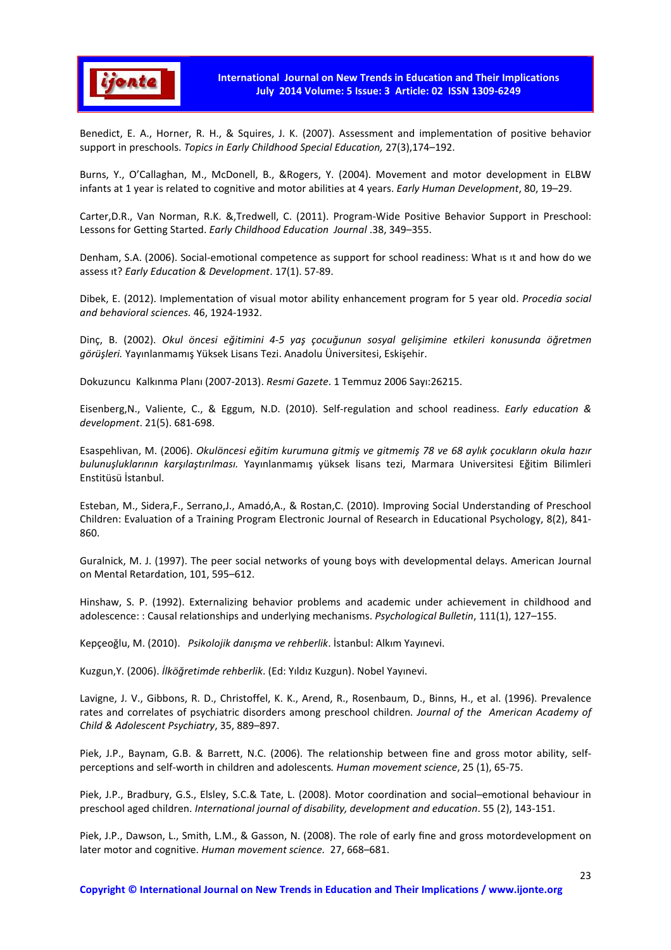

Benedict, E. A., Horner, R. H., & Squires, J. K. (2007). Assessment and implementation of positive behavior support in preschools. *Topics in Early Childhood Special Education,* 27(3),174–192.

Burns, Y., O'Callaghan, M., McDonell, B., &Rogers, Y. (2004). Movement and motor development in ELBW infants at 1 year is related to cognitive and motor abilities at 4 years. *Early Human Development*, 80, 19–29.

Carter,D.R., Van Norman, R.K. &,Tredwell, C. (2011). Program-Wide Positive Behavior Support in Preschool: Lessons for Getting Started. *Early Childhood Education Journal* .38, 349–355.

Denham, S.A. (2006). Social-emotional competence as support for school readiness: What ıs ıt and how do we assess ıt? *Early Education & Development*. 17(1). 57-89.

Dibek, E. (2012). Implementation of visual motor ability enhancement program for 5 year old. *Procedia social and behavioral sciences.* 46, 1924-1932.

Dinç, B. (2002). *Okul öncesi eğitimini 4-5 yaş çocuğunun sosyal gelişimine etkileri konusunda öğretmen görüşleri.* Yayınlanmamış Yüksek Lisans Tezi. Anadolu Üniversitesi, Eskişehir.

Dokuzuncu Kalkınma Planı (2007-2013). *Resmi Gazete*. 1 Temmuz 2006 Sayı:26215.

Eisenberg,N., Valiente, C., & Eggum, N.D. (2010). Self-regulation and school readiness. *Early education & development*. 21(5). 681-698.

Esaspehlivan, M. (2006). *Okulöncesi eğitim kurumuna gitmiş ve gitmemiş 78 ve 68 aylık çocukların okula hazır bulunuşluklarının karşılaştırılması.* Yayınlanmamış yüksek lisans tezi, Marmara Universitesi Eğitim Bilimleri Enstitüsü İstanbul.

Esteban, M., Sidera,F., Serrano,J., Amadó,A., & Rostan,C. (2010). Improving Social Understanding of Preschool Children: Evaluation of a Training Program Electronic Journal of Research in Educational Psychology, 8(2), 841- 860.

Guralnick, M. J. (1997). The peer social networks of young boys with developmental delays. American Journal on Mental Retardation, 101, 595–612.

Hinshaw, S. P. (1992). Externalizing behavior problems and academic under achievement in childhood and adolescence: : Causal relationships and underlying mechanisms. *Psychological Bulletin*, 111(1), 127–155.

Kepçeoğlu, M. (2010). *Psikolojik danışma ve rehberlik*. İstanbul: Alkım Yayınevi.

Kuzgun,Y. (2006). *İlköğretimde rehberlik*. (Ed: Yıldız Kuzgun). Nobel Yayınevi.

Lavigne, J. V., Gibbons, R. D., Christoffel, K. K., Arend, R., Rosenbaum, D., Binns, H., et al. (1996). Prevalence rates and correlates of psychiatric disorders among preschool children*. Journal of the American Academy of Child & Adolescent Psychiatry*, 35, 889–897.

Piek, J.P., Baynam, G.B. & Barrett, N.C. (2006). The relationship between fine and gross motor ability, selfperceptions and self-worth in children and adolescents*. Human movement science*, 25 (1), 65-75.

Piek, J.P., Bradbury, G.S., Elsley, S.C.& Tate, L. (2008). Motor coordination and social–emotional behaviour in preschool aged children. *International journal of disability, development and education*. 55 (2), 143-151.

Piek, J.P., Dawson, L., Smith, L.M., & Gasson, N. (2008). The role of early fine and gross motordevelopment on later motor and cognitive. *Human movement science.* 27, 668–681.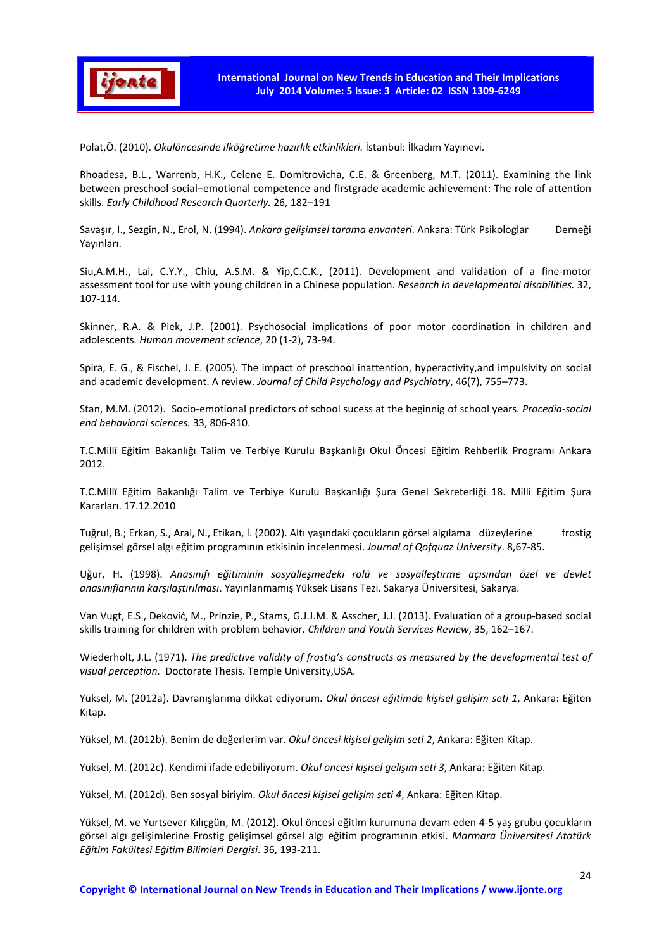

Polat,Ö. (2010). *Okulöncesinde ilköğretime hazırlık etkinlikleri.* İstanbul: İlkadım Yayınevi.

Rhoadesa, B.L., Warrenb, H.K., Celene E. Domitrovicha, C.E. & Greenberg, M.T. (2011). Examining the link between preschool social–emotional competence and firstgrade academic achievement: The role of attention skills. *Early Childhood Research Quarterly.* 26, 182–191

Savaşır, I., Sezgin, N., Erol, N. (1994). *Ankara gelişimsel tarama envanteri*. Ankara: Türk Psikologlar Derneği Yayınları.

Siu,A.M.H., Lai, C.Y.Y., Chiu, A.S.M. & Yip,C.C.K., (2011). Development and validation of a fine-motor assessment tool for use with young children in a Chinese population. *Research in developmental disabilities.* 32, 107-114.

Skinner, R.A. & Piek, J.P. (2001). Psychosocial implications of poor motor coordination in children and adolescents*. Human movement science*, 20 (1-2), 73-94.

Spira, E. G., & Fischel, J. E. (2005). The impact of preschool inattention, hyperactivity,and impulsivity on social and academic development. A review. *Journal of Child Psychology and Psychiatry*, 46(7), 755–773.

Stan, M.M. (2012). Socio-emotional predictors of school sucess at the beginnig of school years. *Procedia-social end behavioral sciences.* 33, 806-810.

T.C.Millî Eğitim Bakanlığı Talim ve Terbiye Kurulu Başkanlığı Okul Öncesi Eğitim Rehberlik Programı Ankara 2012.

T.C.Millî Eğitim Bakanlığı Talim ve Terbiye Kurulu Başkanlığı Şura Genel Sekreterliği 18. Milli Eğitim Şura Kararları. 17.12.2010

Tuğrul, B.; Erkan, S., Aral, N., Etikan, İ. (2002). Altı yaşındaki çocukların görsel algılama düzeylerine frostig gelişimsel görsel algı eğitim programının etkisinin incelenmesi. *Journal of Qofquaz University*. 8,67-85.

Uğur, H. (1998). *Anasınıfı eğitiminin sosyalleşmedeki rolü ve sosyalleştirme açısından özel ve devlet anasınıflarının karşılaştırılması*. Yayınlanmamış Yüksek Lisans Tezi. Sakarya Üniversitesi, Sakarya.

Van Vugt, E.S., Deković, M., Prinzie, P., Stams, G.J.J.M. & Asscher, J.J. (2013). Evaluation of a group-based social skills training for children with problem behavior. *Children and Youth Services Review*, 35, 162–167.

Wiederholt, J.L. (1971). *The predictive validity of frostig's constructs as measured by the developmental test of visual perception.* Doctorate Thesis. Temple University,USA.

Yüksel, M. (2012a). Davranışlarıma dikkat ediyorum. *Okul öncesi eğitimde kişisel gelişim seti 1*, Ankara: Eğiten Kitap.

Yüksel, M. (2012b). Benim de değerlerim var. *Okul öncesi kişisel gelişim seti 2*, Ankara: Eğiten Kitap.

Yüksel, M. (2012c). Kendimi ifade edebiliyorum. *Okul öncesi kişisel gelişim seti 3*, Ankara: Eğiten Kitap.

Yüksel, M. (2012d). Ben sosyal biriyim. *Okul öncesi kişisel gelişim seti 4*, Ankara: Eğiten Kitap.

Yüksel, M. ve Yurtsever Kılıçgün, M. (2012). Okul öncesi eğitim kurumuna devam eden 4-5 yaş grubu çocukların görsel algı gelişimlerine Frostig gelişimsel görsel algı eğitim programının etkisi. *Marmara Üniversitesi Atatürk Eğitim Fakültesi Eğitim Bilimleri Dergisi*. 36, 193-211.